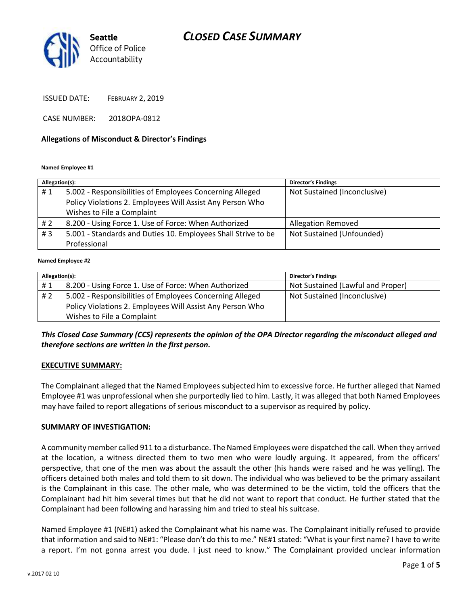# *CLOSED CASE SUMMARY*



ISSUED DATE: FEBRUARY 2, 2019

CASE NUMBER: 2018OPA-0812

#### **Allegations of Misconduct & Director's Findings**

#### **Named Employee #1**

| Allegation(s): |                                                               | <b>Director's Findings</b>   |
|----------------|---------------------------------------------------------------|------------------------------|
| #1             | 5.002 - Responsibilities of Employees Concerning Alleged      | Not Sustained (Inconclusive) |
|                | Policy Violations 2. Employees Will Assist Any Person Who     |                              |
|                | Wishes to File a Complaint                                    |                              |
| # 2            | 8.200 - Using Force 1. Use of Force: When Authorized          | <b>Allegation Removed</b>    |
| #3             | 5.001 - Standards and Duties 10. Employees Shall Strive to be | Not Sustained (Unfounded)    |
|                | Professional                                                  |                              |
|                |                                                               |                              |

#### **Named Employee #2**

| Allegation(s): |                                                           | <b>Director's Findings</b>        |
|----------------|-----------------------------------------------------------|-----------------------------------|
| #1             | 8.200 - Using Force 1. Use of Force: When Authorized      | Not Sustained (Lawful and Proper) |
| # 2            | 5.002 - Responsibilities of Employees Concerning Alleged  | Not Sustained (Inconclusive)      |
|                | Policy Violations 2. Employees Will Assist Any Person Who |                                   |
|                | Wishes to File a Complaint                                |                                   |

*This Closed Case Summary (CCS) represents the opinion of the OPA Director regarding the misconduct alleged and therefore sections are written in the first person.* 

### **EXECUTIVE SUMMARY:**

The Complainant alleged that the Named Employees subjected him to excessive force. He further alleged that Named Employee #1 was unprofessional when she purportedly lied to him. Lastly, it was alleged that both Named Employees may have failed to report allegations of serious misconduct to a supervisor as required by policy.

### **SUMMARY OF INVESTIGATION:**

A community member called 911 to a disturbance. The Named Employees were dispatched the call. When they arrived at the location, a witness directed them to two men who were loudly arguing. It appeared, from the officers' perspective, that one of the men was about the assault the other (his hands were raised and he was yelling). The officers detained both males and told them to sit down. The individual who was believed to be the primary assailant is the Complainant in this case. The other male, who was determined to be the victim, told the officers that the Complainant had hit him several times but that he did not want to report that conduct. He further stated that the Complainant had been following and harassing him and tried to steal his suitcase.

Named Employee #1 (NE#1) asked the Complainant what his name was. The Complainant initially refused to provide that information and said to NE#1: "Please don't do this to me." NE#1 stated: "What is your first name? I have to write a report. I'm not gonna arrest you dude. I just need to know." The Complainant provided unclear information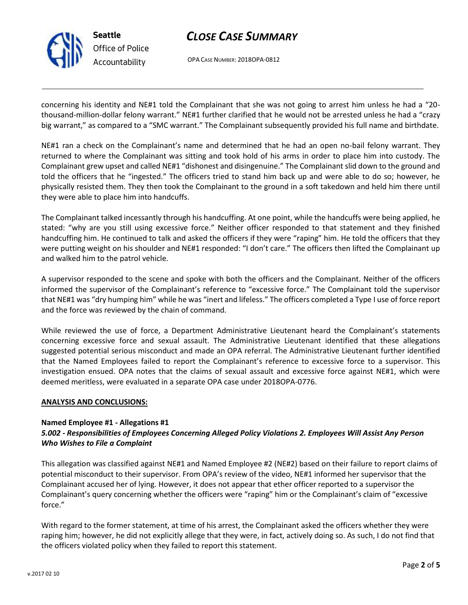

**Seattle** *Office of Police Accountability*

# *CLOSE CASE SUMMARY*

OPA CASE NUMBER: 2018OPA-0812

concerning his identity and NE#1 told the Complainant that she was not going to arrest him unless he had a "20 thousand-million-dollar felony warrant." NE#1 further clarified that he would not be arrested unless he had a "crazy big warrant," as compared to a "SMC warrant." The Complainant subsequently provided his full name and birthdate.

NE#1 ran a check on the Complainant's name and determined that he had an open no-bail felony warrant. They returned to where the Complainant was sitting and took hold of his arms in order to place him into custody. The Complainant grew upset and called NE#1 "dishonest and disingenuine." The Complainant slid down to the ground and told the officers that he "ingested." The officers tried to stand him back up and were able to do so; however, he physically resisted them. They then took the Complainant to the ground in a soft takedown and held him there until they were able to place him into handcuffs.

The Complainant talked incessantly through his handcuffing. At one point, while the handcuffs were being applied, he stated: "why are you still using excessive force." Neither officer responded to that statement and they finished handcuffing him. He continued to talk and asked the officers if they were "raping" him. He told the officers that they were putting weight on his shoulder and NE#1 responded: "I don't care." The officers then lifted the Complainant up and walked him to the patrol vehicle.

A supervisor responded to the scene and spoke with both the officers and the Complainant. Neither of the officers informed the supervisor of the Complainant's reference to "excessive force." The Complainant told the supervisor that NE#1 was "dry humping him" while he was "inert and lifeless." The officers completed a Type I use of force report and the force was reviewed by the chain of command.

While reviewed the use of force, a Department Administrative Lieutenant heard the Complainant's statements concerning excessive force and sexual assault. The Administrative Lieutenant identified that these allegations suggested potential serious misconduct and made an OPA referral. The Administrative Lieutenant further identified that the Named Employees failed to report the Complainant's reference to excessive force to a supervisor. This investigation ensued. OPA notes that the claims of sexual assault and excessive force against NE#1, which were deemed meritless, were evaluated in a separate OPA case under 2018OPA-0776.

### **ANALYSIS AND CONCLUSIONS:**

### **Named Employee #1 - Allegations #1**

# *5.002 - Responsibilities of Employees Concerning Alleged Policy Violations 2. Employees Will Assist Any Person Who Wishes to File a Complaint*

This allegation was classified against NE#1 and Named Employee #2 (NE#2) based on their failure to report claims of potential misconduct to their supervisor. From OPA's review of the video, NE#1 informed her supervisor that the Complainant accused her of lying. However, it does not appear that ether officer reported to a supervisor the Complainant's query concerning whether the officers were "raping" him or the Complainant's claim of "excessive force."

With regard to the former statement, at time of his arrest, the Complainant asked the officers whether they were raping him; however, he did not explicitly allege that they were, in fact, actively doing so. As such, I do not find that the officers violated policy when they failed to report this statement.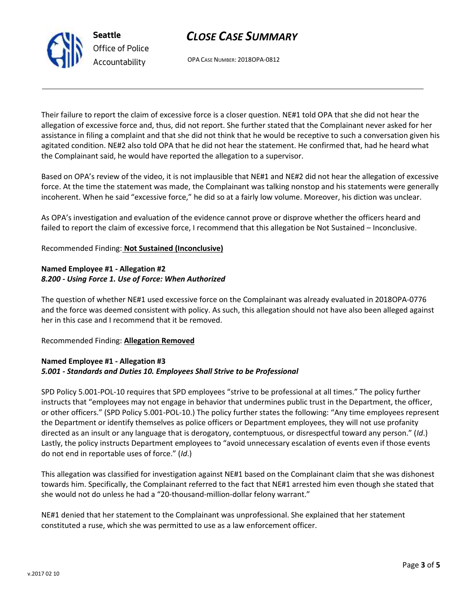*CLOSE CASE SUMMARY*

OPA CASE NUMBER: 2018OPA-0812

Their failure to report the claim of excessive force is a closer question. NE#1 told OPA that she did not hear the allegation of excessive force and, thus, did not report. She further stated that the Complainant never asked for her assistance in filing a complaint and that she did not think that he would be receptive to such a conversation given his agitated condition. NE#2 also told OPA that he did not hear the statement. He confirmed that, had he heard what the Complainant said, he would have reported the allegation to a supervisor.

Based on OPA's review of the video, it is not implausible that NE#1 and NE#2 did not hear the allegation of excessive force. At the time the statement was made, the Complainant was talking nonstop and his statements were generally incoherent. When he said "excessive force," he did so at a fairly low volume. Moreover, his diction was unclear.

As OPA's investigation and evaluation of the evidence cannot prove or disprove whether the officers heard and failed to report the claim of excessive force, I recommend that this allegation be Not Sustained – Inconclusive.

# Recommended Finding: **Not Sustained (Inconclusive)**

## **Named Employee #1 - Allegation #2** *8.200 - Using Force 1. Use of Force: When Authorized*

The question of whether NE#1 used excessive force on the Complainant was already evaluated in 2018OPA-0776 and the force was deemed consistent with policy. As such, this allegation should not have also been alleged against her in this case and I recommend that it be removed.

### Recommended Finding: **Allegation Removed**

### **Named Employee #1 - Allegation #3** *5.001 - Standards and Duties 10. Employees Shall Strive to be Professional*

SPD Policy 5.001-POL-10 requires that SPD employees "strive to be professional at all times." The policy further instructs that "employees may not engage in behavior that undermines public trust in the Department, the officer, or other officers." (SPD Policy 5.001-POL-10.) The policy further states the following: "Any time employees represent the Department or identify themselves as police officers or Department employees, they will not use profanity directed as an insult or any language that is derogatory, contemptuous, or disrespectful toward any person." (*Id*.) Lastly, the policy instructs Department employees to "avoid unnecessary escalation of events even if those events do not end in reportable uses of force." (*Id*.)

This allegation was classified for investigation against NE#1 based on the Complainant claim that she was dishonest towards him. Specifically, the Complainant referred to the fact that NE#1 arrested him even though she stated that she would not do unless he had a "20-thousand-million-dollar felony warrant."

NE#1 denied that her statement to the Complainant was unprofessional. She explained that her statement constituted a ruse, which she was permitted to use as a law enforcement officer.



**Seattle** *Office of Police Accountability*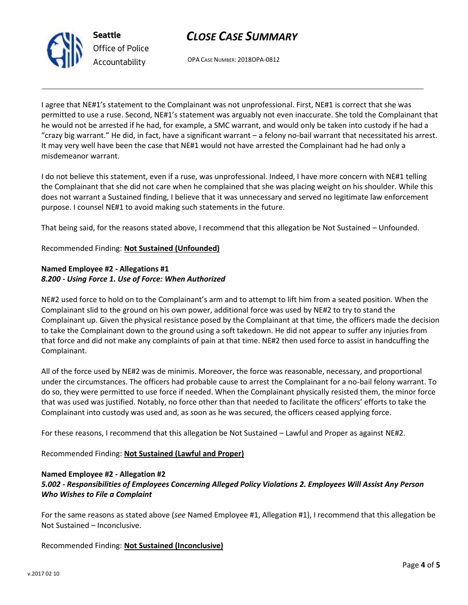

**Seattle** *Office of Police Accountability*

# *CLOSE CASE SUMMARY*

OPA CASE NUMBER: 2018OPA-0812

I agree that NE#1's statement to the Complainant was not unprofessional. First, NE#1 is correct that she was permitted to use a ruse. Second, NE#1's statement was arguably not even inaccurate. She told the Complainant that he would not be arrested if he had, for example, a SMC warrant, and would only be taken into custody if he had a "crazy big warrant." He did, in fact, have a significant warrant – a felony no-bail warrant that necessitated his arrest. It may very well have been the case that NE#1 would not have arrested the Complainant had he had only a misdemeanor warrant.

I do not believe this statement, even if a ruse, was unprofessional. Indeed, I have more concern with NE#1 telling the Complainant that she did not care when he complained that she was placing weight on his shoulder. While this does not warrant a Sustained finding, I believe that it was unnecessary and served no legitimate law enforcement purpose. I counsel NE#1 to avoid making such statements in the future.

That being said, for the reasons stated above, I recommend that this allegation be Not Sustained – Unfounded.

# Recommended Finding: **Not Sustained (Unfounded)**

# **Named Employee #2 - Allegations #1** *8.200 - Using Force 1. Use of Force: When Authorized*

NE#2 used force to hold on to the Complainant's arm and to attempt to lift him from a seated position. When the Complainant slid to the ground on his own power, additional force was used by NE#2 to try to stand the Complainant up. Given the physical resistance posed by the Complainant at that time, the officers made the decision to take the Complainant down to the ground using a soft takedown. He did not appear to suffer any injuries from that force and did not make any complaints of pain at that time. NE#2 then used force to assist in handcuffing the Complainant.

All of the force used by NE#2 was de minimis. Moreover, the force was reasonable, necessary, and proportional under the circumstances. The officers had probable cause to arrest the Complainant for a no-bail felony warrant. To do so, they were permitted to use force if needed. When the Complainant physically resisted them, the minor force that was used was justified. Notably, no force other than that needed to facilitate the officers' efforts to take the Complainant into custody was used and, as soon as he was secured, the officers ceased applying force.

For these reasons, I recommend that this allegation be Not Sustained – Lawful and Proper as against NE#2.

Recommended Finding: **Not Sustained (Lawful and Proper)**

### **Named Employee #2 - Allegation #2**

# *5.002 - Responsibilities of Employees Concerning Alleged Policy Violations 2. Employees Will Assist Any Person Who Wishes to File a Complaint*

For the same reasons as stated above (*see* Named Employee #1, Allegation #1), I recommend that this allegation be Not Sustained – Inconclusive.

Recommended Finding: **Not Sustained (Inconclusive)**